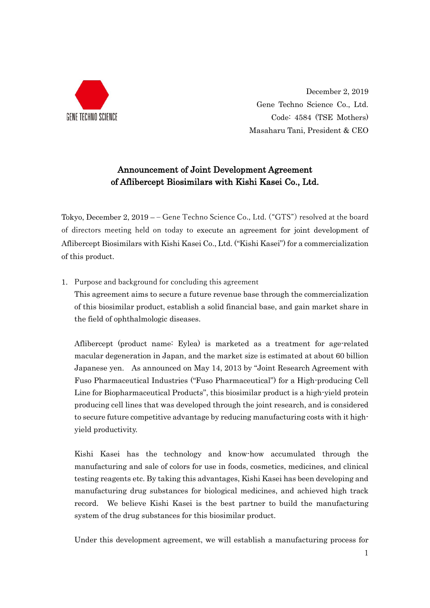

December 2, 2019 Gene Techno Science Co., Ltd. Code: 4584 (TSE Mothers) Masaharu Tani, President & CEO

## Announcement of Joint Development Agreement of Aflibercept Biosimilars with Kishi Kasei Co., Ltd.

Tokyo, December 2, 2019 – – Gene Techno Science Co., Ltd. ("GTS") resolved at the board of directors meeting held on today to execute an agreement for joint development of Aflibercept Biosimilars with Kishi Kasei Co., Ltd. ("Kishi Kasei") for a commercialization of this product.

1. Purpose and background for concluding this agreement

This agreement aims to secure a future revenue base through the commercialization of this biosimilar product, establish a solid financial base, and gain market share in the field of ophthalmologic diseases.

Aflibercept (product name: Eylea) is marketed as a treatment for age-related macular degeneration in Japan, and the market size is estimated at about 60 billion Japanese yen. As announced on May 14, 2013 by "Joint Research Agreement with Fuso Pharmaceutical Industries ("Fuso Pharmaceutical") for a High-producing Cell Line for Biopharmaceutical Products", this biosimilar product is a high-yield protein producing cell lines that was developed through the joint research, and is considered to secure future competitive advantage by reducing manufacturing costs with it highyield productivity.

Kishi Kasei has the technology and know-how accumulated through the manufacturing and sale of colors for use in foods, cosmetics, medicines, and clinical testing reagents etc. By taking this advantages, Kishi Kasei has been developing and manufacturing drug substances for biological medicines, and achieved high track record. We believe Kishi Kasei is the best partner to build the manufacturing system of the drug substances for this biosimilar product.

Under this development agreement, we will establish a manufacturing process for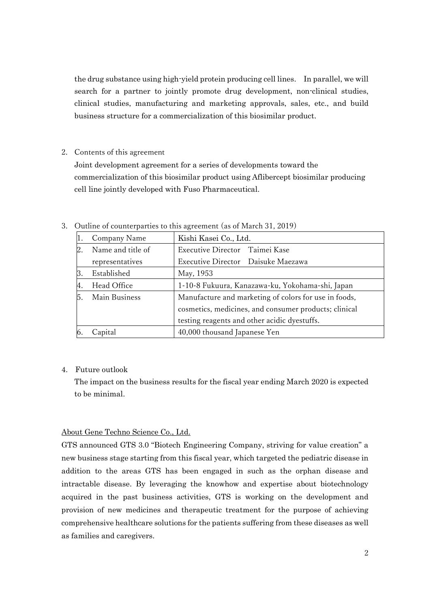the drug substance using high-yield protein producing cell lines. In parallel, we will search for a partner to jointly promote drug development, non-clinical studies, clinical studies, manufacturing and marketing approvals, sales, etc., and build business structure for a commercialization of this biosimilar product.

2. Contents of this agreement

Joint development agreement for a series of developments toward the commercialization of this biosimilar product using Aflibercept biosimilar producing cell line jointly developed with Fuso Pharmaceutical.

|    | Company Name      | Kishi Kasei Co., Ltd.                                 |
|----|-------------------|-------------------------------------------------------|
| 2. | Name and title of | Executive Director Taimei Kase                        |
|    | representatives   | Executive Director Daisuke Maezawa                    |
| З. | Established       | May, 1953                                             |
| 4. | Head Office       | 1-10-8 Fukuura, Kanazawa-ku, Yokohama-shi, Japan      |
| 5. | Main Business     | Manufacture and marketing of colors for use in foods, |
|    |                   | cosmetics, medicines, and consumer products; clinical |
|    |                   | testing reagents and other acidic dyestuffs.          |
| Ю. | Capital           | 40,000 thousand Japanese Yen                          |

3. Outline of counterparties to this agreement (as of March 31, 2019)

## 4. Future outlook

The impact on the business results for the fiscal year ending March 2020 is expected to be minimal.

## About Gene Techno Science Co., Ltd.

GTS announced GTS 3.0 "Biotech Engineering Company, striving for value creation" a new business stage starting from this fiscal year, which targeted the pediatric disease in addition to the areas GTS has been engaged in such as the orphan disease and intractable disease. By leveraging the knowhow and expertise about biotechnology acquired in the past business activities, GTS is working on the development and provision of new medicines and therapeutic treatment for the purpose of achieving comprehensive healthcare solutions for the patients suffering from these diseases as well as families and caregivers.